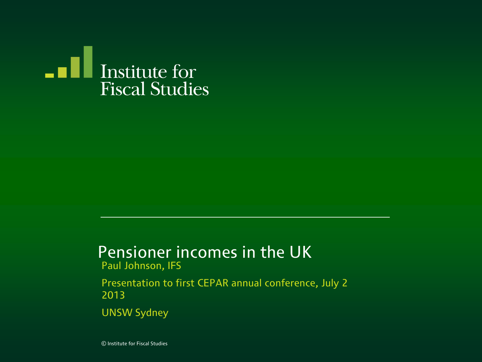

## Pensioner incomes in the UK

Paul Johnson, IFS

Presentation to first CEPAR annual conference, July 2 2013

UNSW Sydney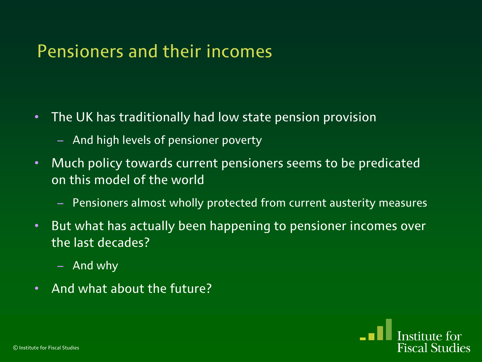#### Pensioners and their incomes

- The UK has traditionally had low state pension provision
	- And high levels of pensioner poverty
- Much policy towards current pensioners seems to be predicated on this model of the world
	- Pensioners almost wholly protected from current austerity measures

Fiscal Studies

- But what has actually been happening to pensioner incomes over the last decades?
	- And why
- And what about the future?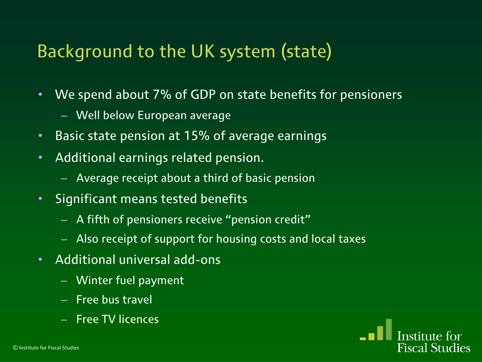## Background to the UK system (state)

- We spend about 7% of GDP on state benefits for pensioners
	- Well below European average
- Basic state pension at 15% of average earnings
- Additional earnings related pension.
	- Average receipt about a third of basic pension
- Significant means tested benefits
	- A fifth of pensioners receive "pension credit"
	- Also receipt of support for housing costs and local taxes

**Fiscal Studies** 

- Additional universal add-ons
	- Winter fuel payment
	- Free bus travel
	- Free TV licences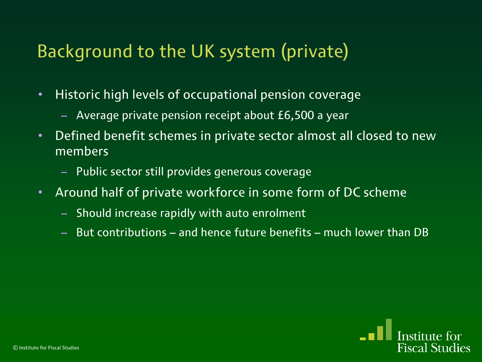## Background to the UK system (private)

- Historic high levels of occupational pension coverage
	- Average private pension receipt about £6,500 a year
- Defined benefit schemes in private sector almost all closed to new members
	- Public sector still provides generous coverage
- Around half of private workforce in some form of DC scheme
	- Should increase rapidly with auto enrolment
	- But contributions and hence future benefits much lower than DB

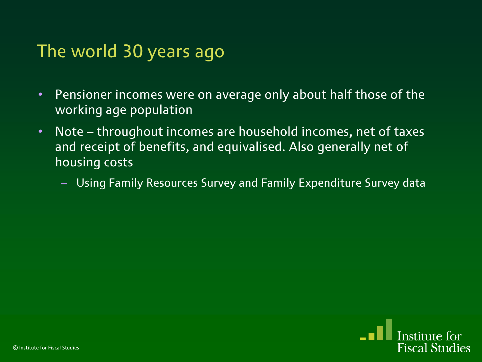#### The world 30 years ago

- Pensioner incomes were on average only about half those of the working age population
- Note throughout incomes are household incomes, net of taxes and receipt of benefits, and equivalised. Also generally net of housing costs
	- Using Family Resources Survey and Family Expenditure Survey data

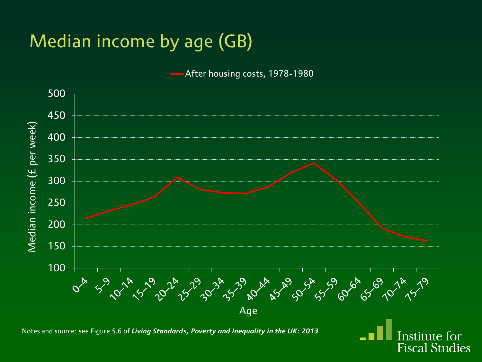# Median income by age (GB)

After housing costs, 1978-1980



Institute for **Fiscal Studies** 

Notes and source: see Figure 5.6 of *Living Standards, Poverty and Inequality in the UK: 2013*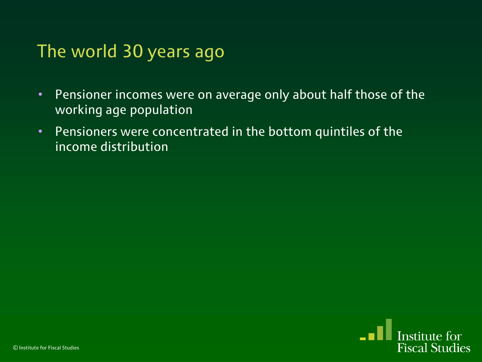#### The world 30 years ago

- Pensioner incomes were on average only about half those of the working age population
- Pensioners were concentrated in the bottom quintiles of the income distribution

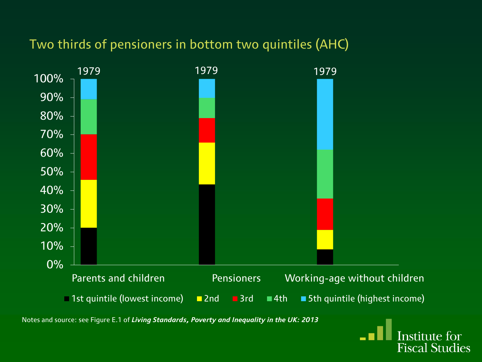#### Two thirds of pensioners in bottom two quintiles (AHC)



Notes and source: see Figure E.1 of *Living Standards, Poverty and Inequality in the UK: 2013*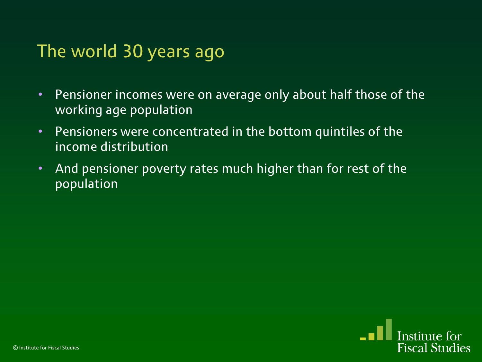#### The world 30 years ago

- Pensioner incomes were on average only about half those of the working age population
- Pensioners were concentrated in the bottom quintiles of the income distribution
- And pensioner poverty rates much higher than for rest of the population

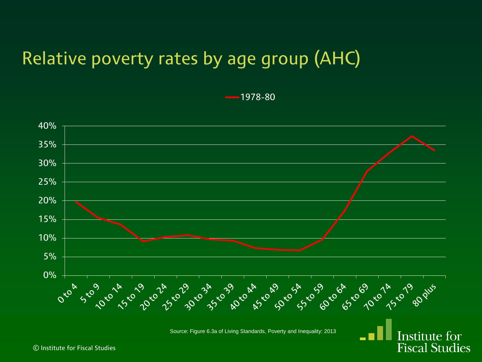## Relative poverty rates by age group (AHC)

1978-80



Source: Figure 6.3a of Living Standards, Poverty and Inequality: 2013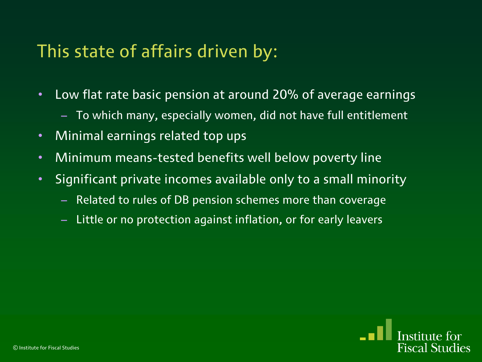#### This state of affairs driven by:

- Low flat rate basic pension at around 20% of average earnings
	- To which many, especially women, did not have full entitlement
- Minimal earnings related top ups
- Minimum means-tested benefits well below poverty line
- Significant private incomes available only to a small minority
	- Related to rules of DB pension schemes more than coverage
	- Little or no protection against inflation, or for early leavers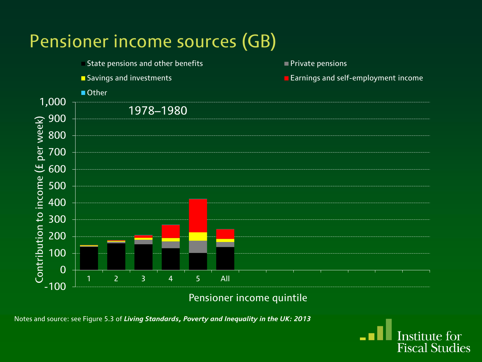

Pensioner income quintile

Notes and source: see Figure 5.3 of *Living Standards, Poverty and Inequality in the UK: 2013*

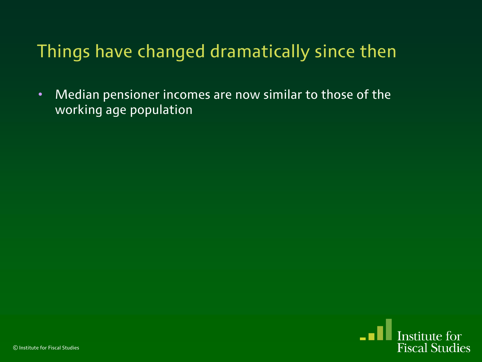## Things have changed dramatically since then

• Median pensioner incomes are now similar to those of the working age population

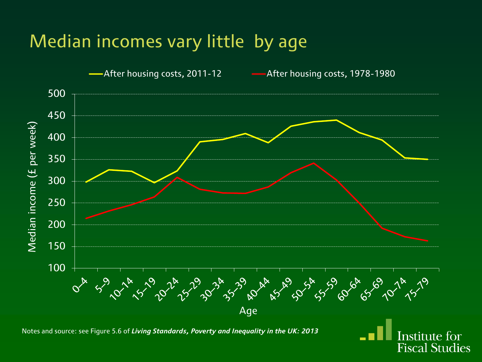## Median incomes vary little by age

After housing costs, 2011-12 - After housing costs, 1978-1980

Institute for **Fiscal Studies** 



Notes and source: see Figure 5.6 of *Living Standards, Poverty and Inequality in the UK: 2013*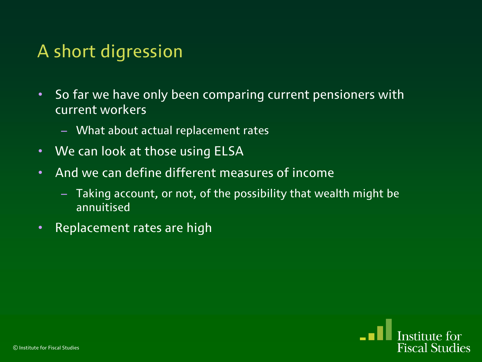## A short digression

- So far we have only been comparing current pensioners with current workers
	- What about actual replacement rates
- We can look at those using ELSA
- And we can define different measures of income
	- Taking account, or not, of the possibility that wealth might be annuitised
- Replacement rates are high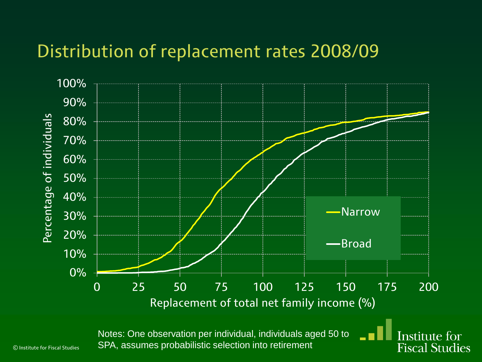#### Distribution of replacement rates 2008/09



Notes: One observation per individual, individuals aged 50 to SPA, assumes probabilistic selection into retirement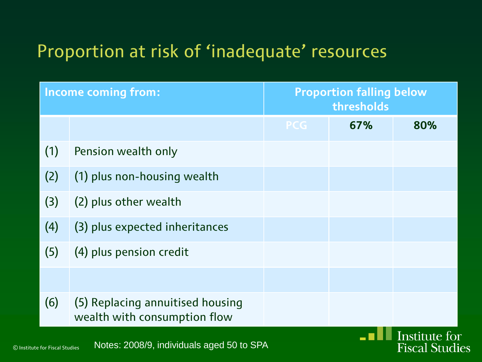| <b>Income coming from:</b> |                                                                  | <b>Proportion falling below</b><br>thresholds |     |               |
|----------------------------|------------------------------------------------------------------|-----------------------------------------------|-----|---------------|
|                            |                                                                  | <b>PCG</b>                                    | 67% | 80%           |
| (1)                        | Pension wealth only                                              |                                               |     |               |
| (2)                        | (1) plus non-housing wealth                                      |                                               |     |               |
| (3)                        | (2) plus other wealth                                            |                                               |     |               |
| (4)                        | (3) plus expected inheritances                                   |                                               |     |               |
| (5)                        | (4) plus pension credit                                          |                                               |     |               |
|                            |                                                                  |                                               |     |               |
| (6)                        | (5) Replacing annuitised housing<br>wealth with consumption flow |                                               |     |               |
|                            |                                                                  |                                               |     | Institute for |

**Fiscal Studies**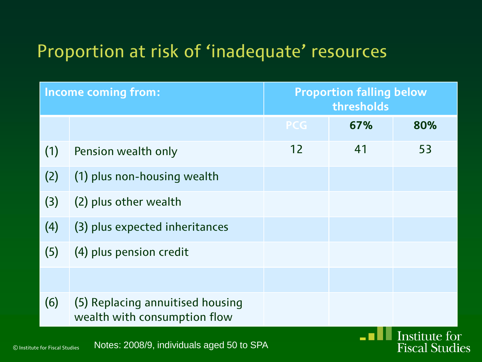| <b>Income coming from:</b> |                                                                  | <b>Proportion falling below</b><br>thresholds |     |               |
|----------------------------|------------------------------------------------------------------|-----------------------------------------------|-----|---------------|
|                            |                                                                  | <b>PCG</b>                                    | 67% | 80%           |
| (1)                        | Pension wealth only                                              | 12                                            | 41  | 53            |
| (2)                        | (1) plus non-housing wealth                                      |                                               |     |               |
| (3)                        | (2) plus other wealth                                            |                                               |     |               |
| (4)                        | (3) plus expected inheritances                                   |                                               |     |               |
| (5)                        | (4) plus pension credit                                          |                                               |     |               |
|                            |                                                                  |                                               |     |               |
| (6)                        | (5) Replacing annuitised housing<br>wealth with consumption flow |                                               |     |               |
|                            |                                                                  |                                               |     | Institute for |

**Fiscal Studies** 

© Institute for Fiscal Studies Notes: 2008/9, individuals aged 50 to SPA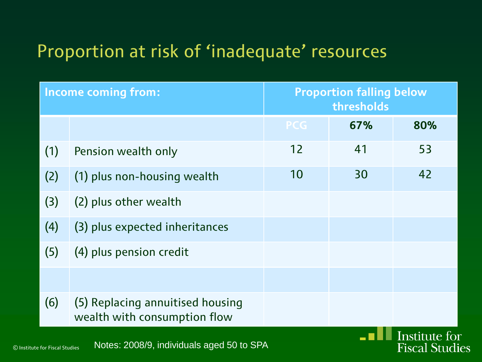| <b>Income coming from:</b> |                                                                  | <b>Proportion falling below</b><br>thresholds |     |               |
|----------------------------|------------------------------------------------------------------|-----------------------------------------------|-----|---------------|
|                            |                                                                  | <b>PCG</b>                                    | 67% | 80%           |
| (1)                        | Pension wealth only                                              | 12                                            | 41  | 53            |
| (2)                        | (1) plus non-housing wealth                                      | 10                                            | 30  | 42            |
| (3)                        | (2) plus other wealth                                            |                                               |     |               |
| (4)                        | (3) plus expected inheritances                                   |                                               |     |               |
| (5)                        | (4) plus pension credit                                          |                                               |     |               |
|                            |                                                                  |                                               |     |               |
| (6)                        | (5) Replacing annuitised housing<br>wealth with consumption flow |                                               |     |               |
|                            |                                                                  |                                               |     | Institute for |

**Fiscal Studies**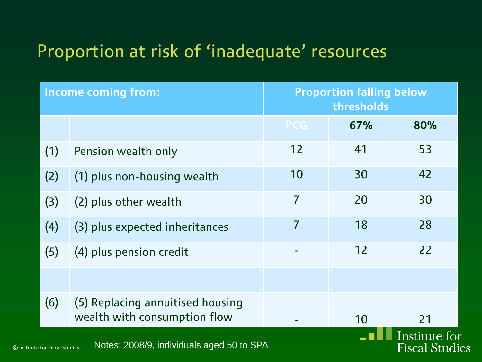|     | <b>Income coming from:</b>                                                                                     | <b>Proportion falling below</b><br>thresholds |     |     |
|-----|----------------------------------------------------------------------------------------------------------------|-----------------------------------------------|-----|-----|
|     |                                                                                                                | <b>PCG</b>                                    | 67% | 80% |
| (1) | Pension wealth only                                                                                            | 12                                            | 41  | 53  |
| (2) | (1) plus non-housing wealth                                                                                    | 10                                            | 30  | 42  |
| (3) | (2) plus other wealth                                                                                          | 7                                             | 20  | 30  |
| (4) | (3) plus expected inheritances                                                                                 | 7                                             | 18  | 28  |
| (5) | (4) plus pension credit                                                                                        |                                               | 12  | 22  |
|     |                                                                                                                |                                               |     |     |
| (6) | (5) Replacing annuitised housing<br>wealth with consumption flow                                               |                                               | 10  | 21  |
|     | Institute for<br>Notes: 2008/9, individuals aged 50 to SPA<br>Fiscal Studies<br>© Institute for Fiscal Studies |                                               |     |     |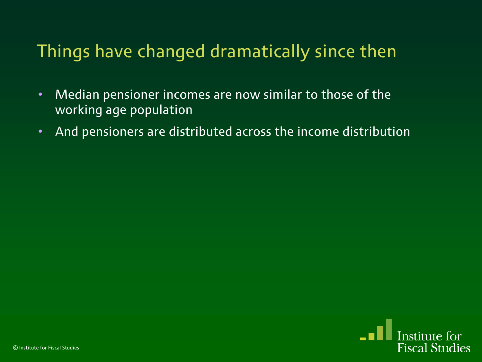## Things have changed dramatically since then

- Median pensioner incomes are now similar to those of the working age population
- And pensioners are distributed across the income distribution

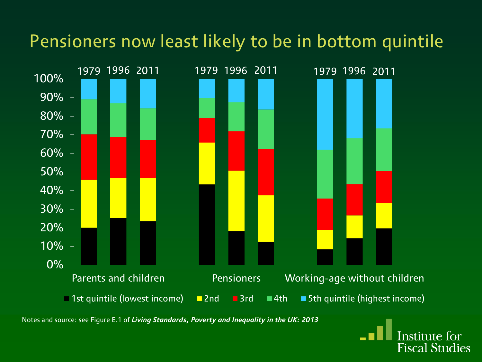## Pensioners now least likely to be in bottom quintile



Notes and source: see Figure E.1 of *Living Standards, Poverty and Inequality in the UK: 2013*

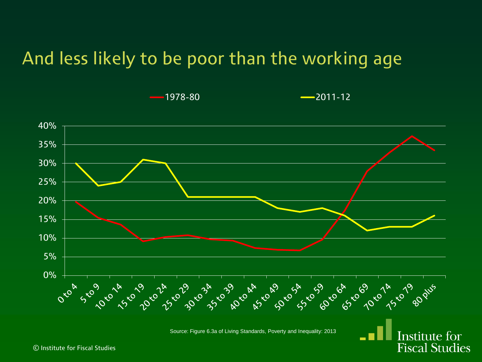#### And less likely to be poor than the working age



Source: Figure 6.3a of Living Standards, Poverty and Inequality: 2013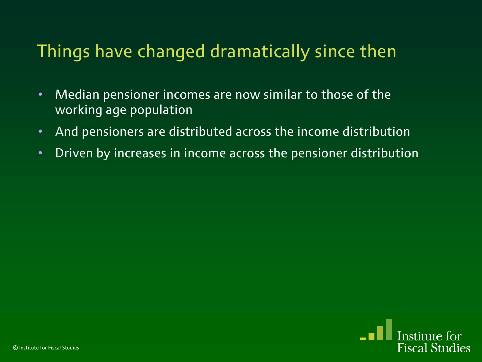## Things have changed dramatically since then

- Median pensioner incomes are now similar to those of the working age population
- And pensioners are distributed across the income distribution
- Driven by increases in income across the pensioner distribution

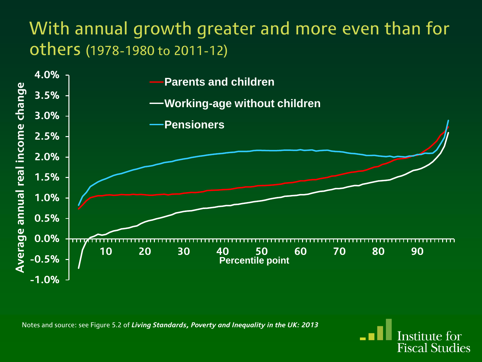#### With annual growth greater and more even than for others (1978-1980 to 2011-12)



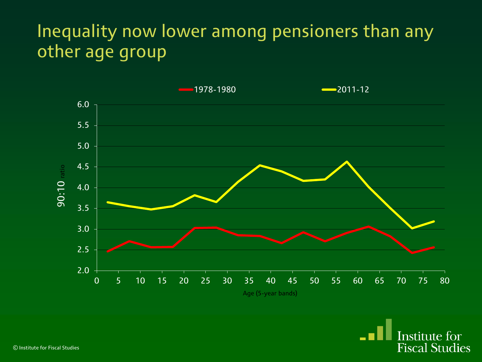## Inequality now lower among pensioners than any other age group

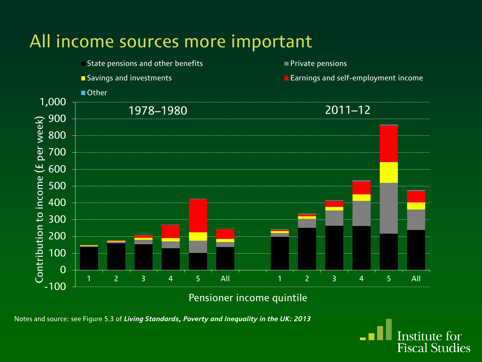### All income sources more important



Pensioner income quintile

Notes and source: see Figure 5.3 of *Living Standards, Poverty and Inequality in the UK: 2013*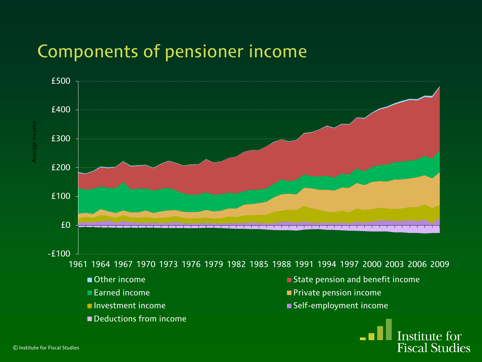#### Components of pensioner income

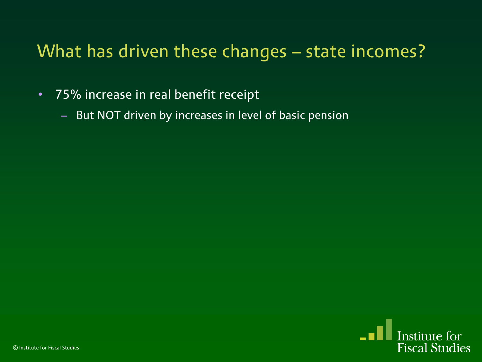### What has driven these changes – state incomes?

- 75% increase in real benefit receipt
	- But NOT driven by increases in level of basic pension

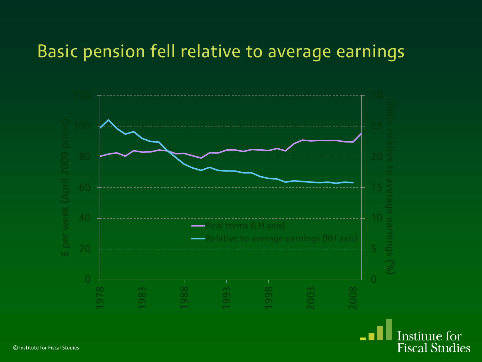#### Basic pension fell relative to average earnings



Institute for **Fiscal Studies**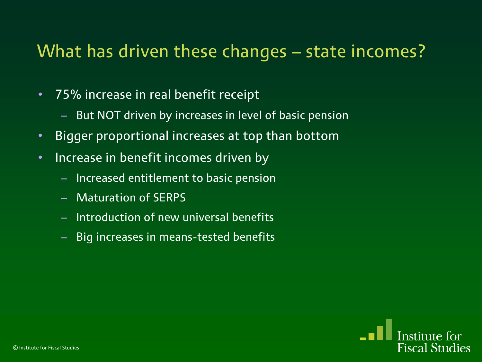#### What has driven these changes – state incomes?

- 75% increase in real benefit receipt
	- But NOT driven by increases in level of basic pension
- Bigger proportional increases at top than bottom
- Increase in benefit incomes driven by
	- Increased entitlement to basic pension
	- Maturation of SERPS
	- Introduction of new universal benefits
	- Big increases in means-tested benefits

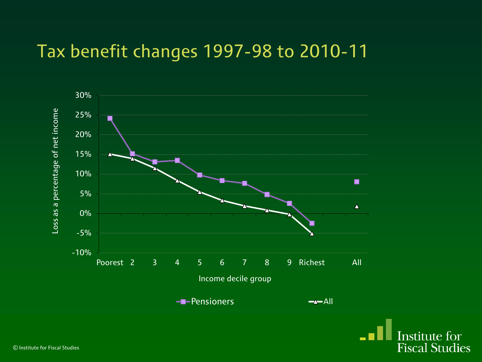#### Tax benefit changes 1997-98 to 2010-11

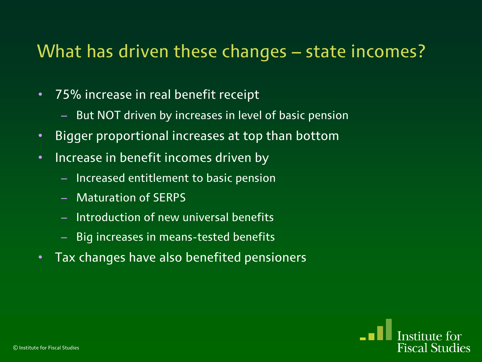#### What has driven these changes – state incomes?

- 75% increase in real benefit receipt
	- But NOT driven by increases in level of basic pension
- Bigger proportional increases at top than bottom
- Increase in benefit incomes driven by
	- Increased entitlement to basic pension
	- Maturation of SERPS
	- Introduction of new universal benefits
	- Big increases in means-tested benefits
- Tax changes have also benefited pensioners

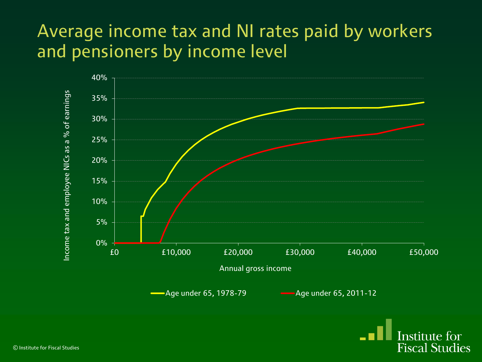#### Average income tax and NI rates paid by workers and pensioners by income level



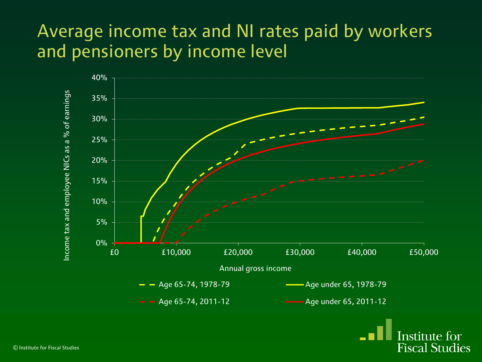#### Average income tax and NI rates paid by workers and pensioners by income level



**Fiscal Studies**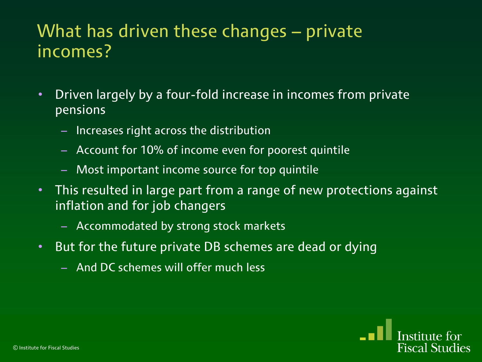#### What has driven these changes – private incomes?

- Driven largely by a four-fold increase in incomes from private pensions
	- Increases right across the distribution
	- Account for 10% of income even for poorest quintile
	- Most important income source for top quintile
- This resulted in large part from a range of new protections against inflation and for job changers
	- Accommodated by strong stock markets
- But for the future private DB schemes are dead or dying
	- And DC schemes will offer much less

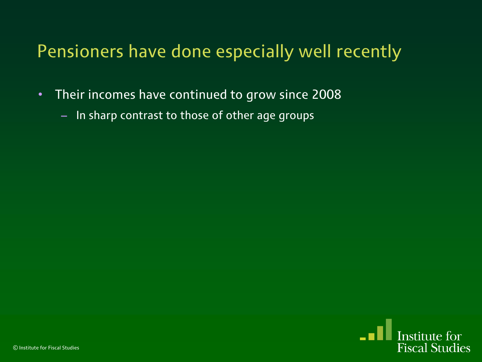### Pensioners have done especially well recently

- Their incomes have continued to grow since 2008
	- In sharp contrast to those of other age groups

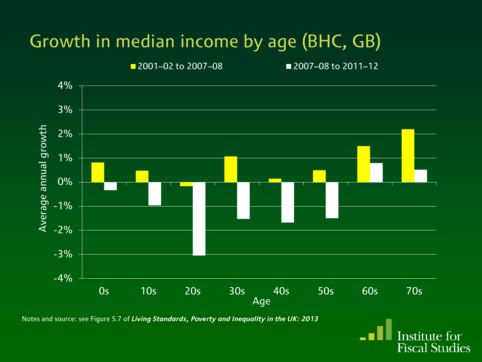# Growth in median income by age (BHC, GB)



Notes and source: see Figure 5.7 of *Living Standards, Poverty and Inequality in the UK: 2013*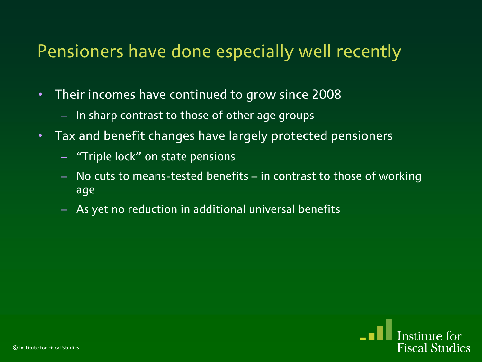#### Pensioners have done especially well recently

- Their incomes have continued to grow since 2008
	- In sharp contrast to those of other age groups
- Tax and benefit changes have largely protected pensioners
	- "Triple lock" on state pensions
	- No cuts to means-tested benefits in contrast to those of working age
	- As yet no reduction in additional universal benefits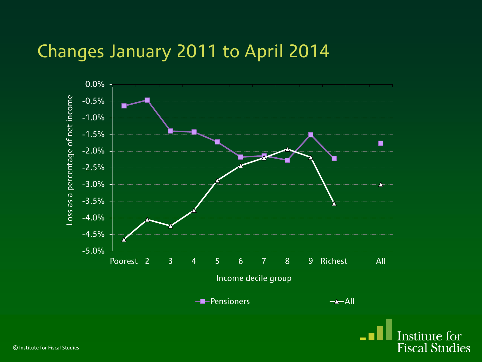#### Changes January 2011 to April 2014



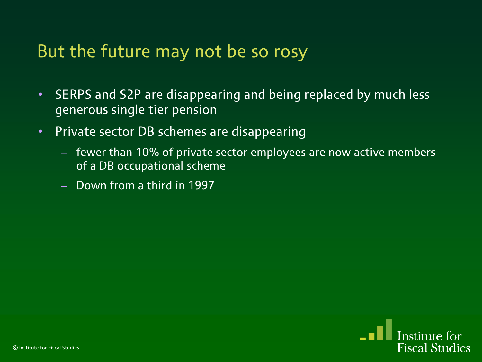#### But the future may not be so rosy

- SERPS and S2P are disappearing and being replaced by much less generous single tier pension
- Private sector DB schemes are disappearing
	- fewer than 10% of private sector employees are now active members of a DB occupational scheme
	- Down from a third in 1997

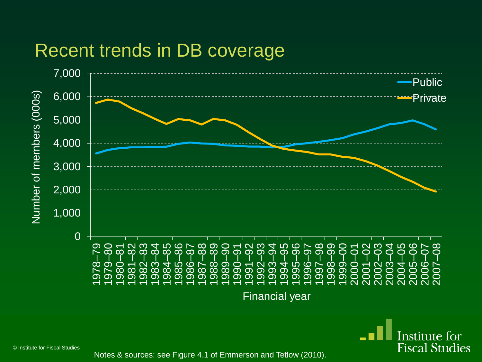#### Recent trends in DB coverage



© Institute for Fiscal Studies

Notes & sources: see Figure 4.1 of Emmerson and Tetlow (2010).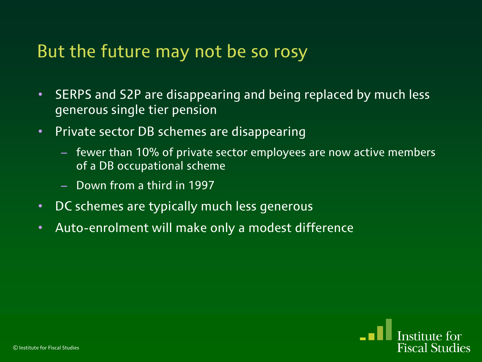#### But the future may not be so rosy

- SERPS and S2P are disappearing and being replaced by much less generous single tier pension
- Private sector DB schemes are disappearing
	- fewer than 10% of private sector employees are now active members of a DB occupational scheme
	- Down from a third in 1997
- DC schemes are typically much less generous
- Auto-enrolment will make only a modest difference